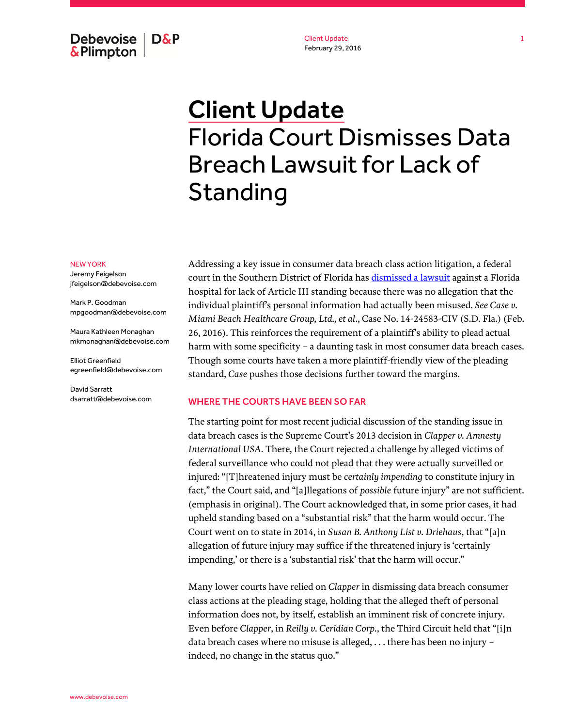Debevoise  $\overline{ }$  D&P **&Plimpton** 

Client Update February 29, 2016

# Client Update Florida Court Dismisses Data Breach Lawsuit for Lack of Standing

#### NEW YORK

Jeremy Feigelson jfeigelson@debevoise.com

Mark P. Goodman mpgoodman@debevoise.com

Maura Kathleen Monaghan mkmonaghan@debevoise.com

Elliot Greenfield egreenfield@debevoise.com

David Sarratt dsarratt@debevoise.com Addressing a key issue in consumer data breach class action litigation, a federal court in the Southern District of Florida ha[s dismissed a lawsuit](http://www.debevoise.com/~/media/files/insights/publications/2016/02/mtd_sac_order.pdf) against a Florida hospital for lack of Article III standing because there was no allegation that the individual plaintiff's personal information had actually been misused. *See Case v. Miami Beach Healthcare Group, Ltd., et al*., Case No. 14-24583-CIV (S.D. Fla.) (Feb. 26, 2016). This reinforces the requirement of a plaintiff's ability to plead actual harm with some specificity – a daunting task in most consumer data breach cases. Though some courts have taken a more plaintiff-friendly view of the pleading standard, *Case* pushes those decisions further toward the margins.

### WHERE THE COURTS HAVE BEEN SO FAR

The starting point for most recent judicial discussion of the standing issue in data breach cases is the Supreme Court's 2013 decision in *Clapper v. Amnesty International USA*. There, the Court rejected a challenge by alleged victims of federal surveillance who could not plead that they were actually surveilled or injured: "[T]hreatened injury must be *certainly impending* to constitute injury in fact," the Court said, and "[a]llegations of *possible* future injury" are not sufficient. (emphasis in original). The Court acknowledged that, in some prior cases, it had upheld standing based on a "substantial risk" that the harm would occur. The Court went on to state in 2014, in *Susan B. Anthony List v. Driehaus*, that "[a]n allegation of future injury may suffice if the threatened injury is 'certainly impending,' or there is a 'substantial risk' that the harm will occur."

Many lower courts have relied on *Clapper* in dismissing data breach consumer class actions at the pleading stage, holding that the alleged theft of personal information does not, by itself, establish an imminent risk of concrete injury. Even before *Clapper*, in *Reilly v. Ceridian Corp.*, the Third Circuit held that "[i]n data breach cases where no misuse is alleged, . . . there has been no injury – indeed, no change in the status quo."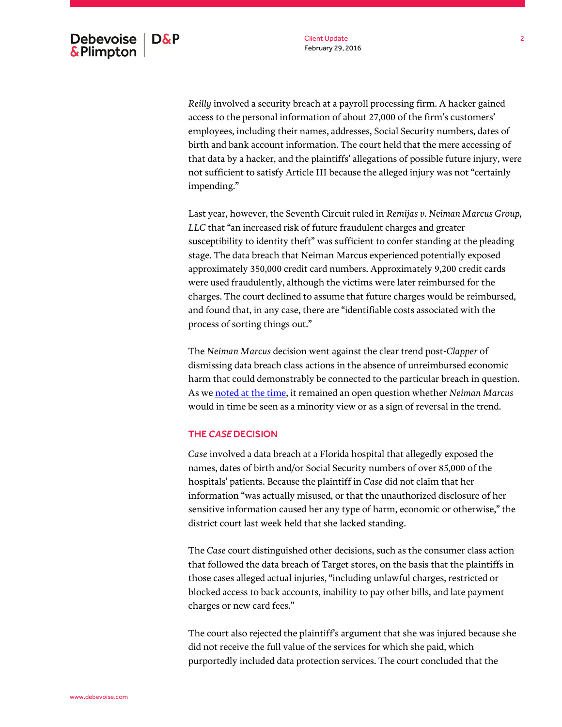*Reilly* involved a security breach at a payroll processing firm. A hacker gained access to the personal information of about 27,000 of the firm's customers' employees, including their names, addresses, Social Security numbers, dates of birth and bank account information. The court held that the mere accessing of that data by a hacker, and the plaintiffs' allegations of possible future injury, were not sufficient to satisfy Article III because the alleged injury was not "certainly impending."

Last year, however, the Seventh Circuit ruled in *Remijas v. Neiman Marcus Group, LLC* that "an increased risk of future fraudulent charges and greater susceptibility to identity theft" was sufficient to confer standing at the pleading stage. The data breach that Neiman Marcus experienced potentially exposed approximately 350,000 credit card numbers. Approximately 9,200 credit cards were used fraudulently, although the victims were later reimbursed for the charges. The court declined to assume that future charges would be reimbursed, and found that, in any case, there are "identifiable costs associated with the process of sorting things out."

The *Neiman Marcus* decision went against the clear trend post-*Clapper* of dismissing data breach class actions in the absence of unreimbursed economic harm that could demonstrably be connected to the particular breach in question. As w[e noted at the time,](http://www.debevoise.com/insights/publications/2015/07/data-breach-plaintiffs-suit-reinstated) it remained an open question whether *Neiman Marcus* would in time be seen as a minority view or as a sign of reversal in the trend.

## THE *CASE* DECISION

*Case* involved a data breach at a Florida hospital that allegedly exposed the names, dates of birth and/or Social Security numbers of over 85,000 of the hospitals' patients. Because the plaintiff in *Case* did not claim that her information "was actually misused, or that the unauthorized disclosure of her sensitive information caused her any type of harm, economic or otherwise," the district court last week held that she lacked standing.

The *Case* court distinguished other decisions, such as the consumer class action that followed the data breach of Target stores, on the basis that the plaintiffs in those cases alleged actual injuries, "including unlawful charges, restricted or blocked access to back accounts, inability to pay other bills, and late payment charges or new card fees."

The court also rejected the plaintiff's argument that she was injured because she did not receive the full value of the services for which she paid, which purportedly included data protection services. The court concluded that the